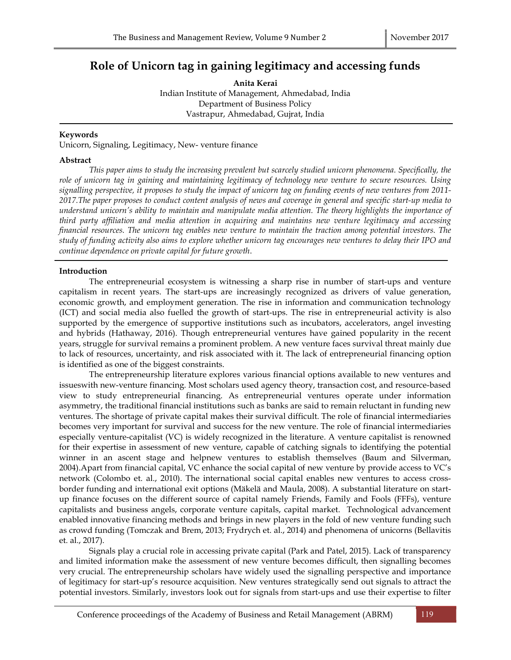# Role of Unicorn tag in gaining legitimacy and accessing funds

Anita Kerai Indian Institute of Management, Ahmedabad, India Department of Business Policy Vastrapur, Ahmedabad, Gujrat, India

# Keywords

Unicorn, Signaling, Legitimacy, New- venture finance

## Abstract

This paper aims to study the increasing prevalent but scarcely studied unicorn phenomena. Specifically, the role of unicorn tag in gaining and maintaining legitimacy of technology new venture to secure resources. Using signalling perspective, it proposes to study the impact of unicorn tag on funding events of new ventures from 2011- 2017.The paper proposes to conduct content analysis of news and coverage in general and specific start-up media to understand unicorn's ability to maintain and manipulate media attention. The theory highlights the importance of third party affiliation and media attention in acquiring and maintains new venture legitimacy and accessing financial resources. The unicorn tag enables new venture to maintain the traction among potential investors. The study of funding activity also aims to explore whether unicorn tag encourages new ventures to delay their IPO and continue dependence on private capital for future growth.

## Introduction

 The entrepreneurial ecosystem is witnessing a sharp rise in number of start-ups and venture capitalism in recent years. The start-ups are increasingly recognized as drivers of value generation, economic growth, and employment generation. The rise in information and communication technology (ICT) and social media also fuelled the growth of start-ups. The rise in entrepreneurial activity is also supported by the emergence of supportive institutions such as incubators, accelerators, angel investing and hybrids (Hathaway, 2016). Though entrepreneurial ventures have gained popularity in the recent years, struggle for survival remains a prominent problem. A new venture faces survival threat mainly due to lack of resources, uncertainty, and risk associated with it. The lack of entrepreneurial financing option is identified as one of the biggest constraints.

 The entrepreneurship literature explores various financial options available to new ventures and issueswith new-venture financing. Most scholars used agency theory, transaction cost, and resource-based view to study entrepreneurial financing. As entrepreneurial ventures operate under information asymmetry, the traditional financial institutions such as banks are said to remain reluctant in funding new ventures. The shortage of private capital makes their survival difficult. The role of financial intermediaries becomes very important for survival and success for the new venture. The role of financial intermediaries especially venture-capitalist (VC) is widely recognized in the literature. A venture capitalist is renowned for their expertise in assessment of new venture, capable of catching signals to identifying the potential winner in an ascent stage and helpnew ventures to establish themselves (Baum and Silverman, 2004).Apart from financial capital, VC enhance the social capital of new venture by provide access to VC's network (Colombo et. al., 2010). The international social capital enables new ventures to access crossborder funding and international exit options (Mäkelä and Maula, 2008). A substantial literature on startup finance focuses on the different source of capital namely Friends, Family and Fools (FFFs), venture capitalists and business angels, corporate venture capitals, capital market. Technological advancement enabled innovative financing methods and brings in new players in the fold of new venture funding such as crowd funding (Tomczak and Brem, 2013; Frydrych et. al., 2014) and phenomena of unicorns (Bellavitis et. al., 2017).

 Signals play a crucial role in accessing private capital (Park and Patel, 2015). Lack of transparency and limited information make the assessment of new venture becomes difficult, then signalling becomes very crucial. The entrepreneurship scholars have widely used the signalling perspective and importance of legitimacy for start-up's resource acquisition. New ventures strategically send out signals to attract the potential investors. Similarly, investors look out for signals from start-ups and use their expertise to filter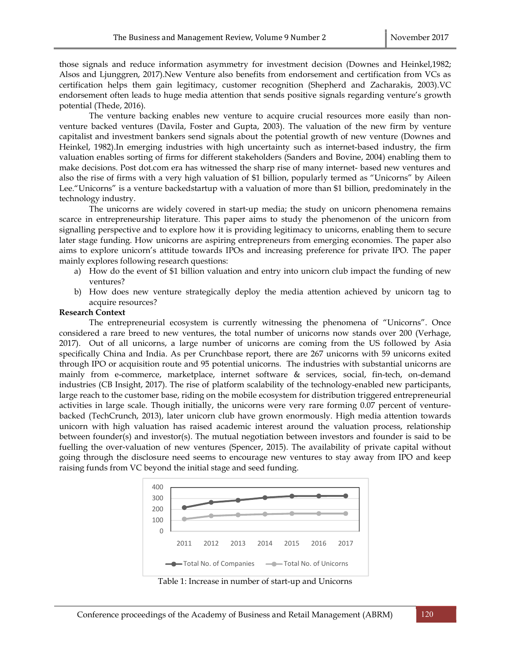those signals and reduce information asymmetry for investment decision (Downes and Heinkel,1982; Alsos and Ljunggren, 2017).New Venture also benefits from endorsement and certification from VCs as certification helps them gain legitimacy, customer recognition (Shepherd and Zacharakis, 2003).VC endorsement often leads to huge media attention that sends positive signals regarding venture's growth potential (Thede, 2016).

 The venture backing enables new venture to acquire crucial resources more easily than nonventure backed ventures (Davila, Foster and Gupta, 2003). The valuation of the new firm by venture capitalist and investment bankers send signals about the potential growth of new venture (Downes and Heinkel, 1982).In emerging industries with high uncertainty such as internet-based industry, the firm valuation enables sorting of firms for different stakeholders (Sanders and Bovine, 2004) enabling them to make decisions. Post dot.com era has witnessed the sharp rise of many internet- based new ventures and also the rise of firms with a very high valuation of \$1 billion, popularly termed as "Unicorns" by Aileen Lee."Unicorns" is a venture backedstartup with a valuation of more than \$1 billion, predominately in the technology industry.

 The unicorns are widely covered in start-up media; the study on unicorn phenomena remains scarce in entrepreneurship literature. This paper aims to study the phenomenon of the unicorn from signalling perspective and to explore how it is providing legitimacy to unicorns, enabling them to secure later stage funding. How unicorns are aspiring entrepreneurs from emerging economies. The paper also aims to explore unicorn's attitude towards IPOs and increasing preference for private IPO. The paper mainly explores following research questions:

- a) How do the event of \$1 billion valuation and entry into unicorn club impact the funding of new ventures?
- b) How does new venture strategically deploy the media attention achieved by unicorn tag to acquire resources?

#### Research Context

 The entrepreneurial ecosystem is currently witnessing the phenomena of "Unicorns". Once considered a rare breed to new ventures, the total number of unicorns now stands over 200 (Verhage, 2017). Out of all unicorns, a large number of unicorns are coming from the US followed by Asia specifically China and India. As per Crunchbase report, there are 267 unicorns with 59 unicorns exited through IPO or acquisition route and 95 potential unicorns. The industries with substantial unicorns are mainly from e-commerce, marketplace, internet software & services, social, fin-tech, on-demand industries (CB Insight, 2017). The rise of platform scalability of the technology-enabled new participants, large reach to the customer base, riding on the mobile ecosystem for distribution triggered entrepreneurial activities in large scale. Though initially, the unicorns were very rare forming 0.07 percent of venturebacked (TechCrunch, 2013), later unicorn club have grown enormously. High media attention towards unicorn with high valuation has raised academic interest around the valuation process, relationship between founder(s) and investor(s). The mutual negotiation between investors and founder is said to be fuelling the over-valuation of new ventures (Spencer, 2015). The availability of private capital without going through the disclosure need seems to encourage new ventures to stay away from IPO and keep raising funds from VC beyond the initial stage and seed funding. Ventures, terotal number or unicorns now stands over 200 (vernage<br>large number of unicorns are coming from the US followed by Asia<br>sper Crunchbase report, there are 267 unicorns with 59 unicorns exited<br>each of Dechridial



Table 1: Increase in number of start-up and Unicorns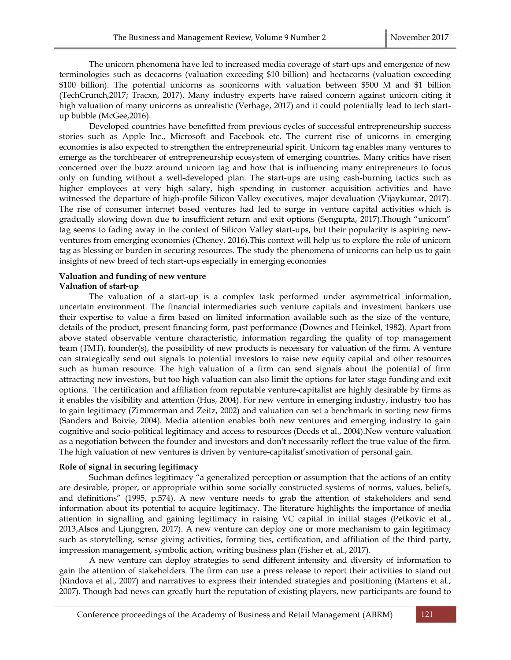The unicorn phenomena have led to increased media coverage of start-ups and emergence of new terminologies such as decacorns (valuation exceeding \$10 billion) and hectacorns (valuation exceeding \$100 billion). The potential unicorns as soonicorns with valuation between \$500 M and \$1 billion (TechCrunch,2017; Tracxn, 2017). Many industry experts have raised concern against unicorn citing it high valuation of many unicorns as unrealistic (Verhage, 2017) and it could potentially lead to tech startup bubble (McGee,2016).

 Developed countries have benefitted from previous cycles of successful entrepreneurship success stories such as Apple Inc., Microsoft and Facebook etc. The current rise of unicorns in emerging economies is also expected to strengthen the entrepreneurial spirit. Unicorn tag enables many ventures to emerge as the torchbearer of entrepreneurship ecosystem of emerging countries. Many critics have risen concerned over the buzz around unicorn tag and how that is influencing many entrepreneurs to focus only on funding without a well-developed plan. The start-ups are using cash-burning tactics such as higher employees at very high salary, high spending in customer acquisition activities and have witnessed the departure of high-profile Silicon Valley executives, major devaluation (Vijaykumar, 2017). The rise of consumer internet based ventures had led to surge in venture capital activities which is gradually slowing down due to insufficient return and exit options (Sengupta, 2017).Though "unicorn" tag seems to fading away in the context of Silicon Valley start-ups, but their popularity is aspiring newventures from emerging economies (Cheney, 2016).This context will help us to explore the role of unicorn tag as blessing or burden in securing resources. The study the phenomena of unicorns can help us to gain insights of new breed of tech start-ups especially in emerging economies

#### Valuation and funding of new venture Valuation of start-up

 The valuation of a start-up is a complex task performed under asymmetrical information, uncertain environment. The financial intermediaries such venture capitals and investment bankers use their expertise to value a firm based on limited information available such as the size of the venture, details of the product, present financing form, past performance (Downes and Heinkel, 1982). Apart from above stated observable venture characteristic, information regarding the quality of top management team (TMT), founder(s), the possibility of new products is necessary for valuation of the firm. A venture can strategically send out signals to potential investors to raise new equity capital and other resources such as human resource. The high valuation of a firm can send signals about the potential of firm attracting new investors, but too high valuation can also limit the options for later stage funding and exit options. The certification and affiliation from reputable venture-capitalist are highly desirable by firms as it enables the visibility and attention (Hus, 2004). For new venture in emerging industry, industry too has to gain legitimacy (Zimmerman and Zeitz, 2002) and valuation can set a benchmark in sorting new firms (Sanders and Boivie, 2004). Media attention enables both new ventures and emerging industry to gain cognitive and socio-political legitimacy and access to resources (Deeds et al., 2004).New venture valuation as a negotiation between the founder and investors and don't necessarily reflect the true value of the firm. The high valuation of new ventures is driven by venture-capitalist'smotivation of personal gain.

# Role of signal in securing legitimacy

 Suchman defines legitimacy "a generalized perception or assumption that the actions of an entity are desirable, proper, or appropriate within some socially constructed systems of norms, values, beliefs, and definitions" (1995, p.574). A new venture needs to grab the attention of stakeholders and send information about its potential to acquire legitimacy. The literature highlights the importance of media attention in signalling and gaining legitimacy in raising VC capital in initial stages (Petkovic et al., 2013,Alsos and Ljunggren, 2017). A new venture can deploy one or more mechanism to gain legitimacy such as storytelling, sense giving activities, forming ties, certification, and affiliation of the third party, impression management, symbolic action, writing business plan (Fisher et. al., 2017).

 A new venture can deploy strategies to send different intensity and diversity of information to gain the attention of stakeholders. The firm can use a press release to report their activities to stand out (Rindova et al., 2007) and narratives to express their intended strategies and positioning (Martens et al., 2007). Though bad news can greatly hurt the reputation of existing players, new participants are found to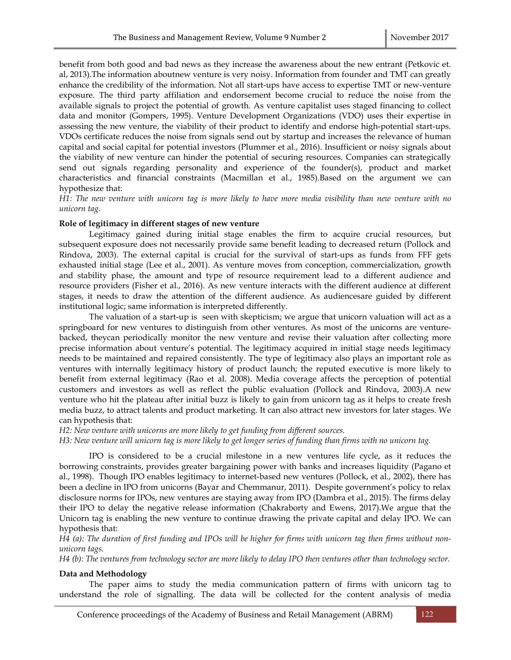benefit from both good and bad news as they increase the awareness about the new entrant (Petkovic et. al, 2013).The information aboutnew venture is very noisy. Information from founder and TMT can greatly enhance the credibility of the information. Not all start-ups have access to expertise TMT or new-venture exposure. The third party affiliation and endorsement become crucial to reduce the noise from the available signals to project the potential of growth. As venture capitalist uses staged financing to collect data and monitor (Gompers, 1995). Venture Development Organizations (VDO) uses their expertise in assessing the new venture, the viability of their product to identify and endorse high-potential start-ups. VDOs certificate reduces the noise from signals send out by startup and increases the relevance of human capital and social capital for potential investors (Plummer et al., 2016). Insufficient or noisy signals about the viability of new venture can hinder the potential of securing resources. Companies can strategically send out signals regarding personality and experience of the founder(s), product and market characteristics and financial constraints (Macmillan et al., 1985).Based on the argument we can hypothesize that:

H1: The new venture with unicorn tag is more likely to have more media visibility than new venture with no unicorn tag.

#### Role of legitimacy in different stages of new venture

 Legitimacy gained during initial stage enables the firm to acquire crucial resources, but subsequent exposure does not necessarily provide same benefit leading to decreased return (Pollock and Rindova, 2003). The external capital is crucial for the survival of start-ups as funds from FFF gets exhausted initial stage (Lee et al., 2001). As venture moves from conception, commercialization, growth and stability phase, the amount and type of resource requirement lead to a different audience and resource providers (Fisher et al., 2016). As new venture interacts with the different audience at different stages, it needs to draw the attention of the different audience. As audiencesare guided by different institutional logic; same information is interpreted differently.

 The valuation of a start-up is seen with skepticism; we argue that unicorn valuation will act as a springboard for new ventures to distinguish from other ventures. As most of the unicorns are venturebacked, theycan periodically monitor the new venture and revise their valuation after collecting more precise information about venture's potential. The legitimacy acquired in initial stage needs legitimacy needs to be maintained and repaired consistently. The type of legitimacy also plays an important role as ventures with internally legitimacy history of product launch; the reputed executive is more likely to benefit from external legitimacy (Rao et al. 2008). Media coverage affects the perception of potential customers and investors as well as reflect the public evaluation (Pollock and Rindova, 2003).A new venture who hit the plateau after initial buzz is likely to gain from unicorn tag as it helps to create fresh media buzz, to attract talents and product marketing. It can also attract new investors for later stages. We can hypothesis that:

H2: New venture with unicorns are more likely to get funding from different sources.

H3: New venture will unicorn tag is more likely to get longer series of funding than firms with no unicorn tag.

 IPO is considered to be a crucial milestone in a new ventures life cycle, as it reduces the borrowing constraints, provides greater bargaining power with banks and increases liquidity (Pagano et al., 1998). Though IPO enables legitimacy to internet-based new ventures (Pollock, et al., 2002), there has been a decline in IPO from unicorns (Bayar and Chemmanur, 2011). Despite government's policy to relax disclosure norms for IPOs, new ventures are staying away from IPO (Dambra et al., 2015). The firms delay their IPO to delay the negative release information (Chakraborty and Ewens, 2017).We argue that the Unicorn tag is enabling the new venture to continue drawing the private capital and delay IPO. We can hypothesis that:

H4 (a): The duration of first funding and IPOs will be higher for firms with unicorn tag then firms without nonunicorn tags.

H4 (b): The ventures from technology sector are more likely to delay IPO then ventures other than technology sector.

#### Data and Methodology

 The paper aims to study the media communication pattern of firms with unicorn tag to understand the role of signalling. The data will be collected for the content analysis of media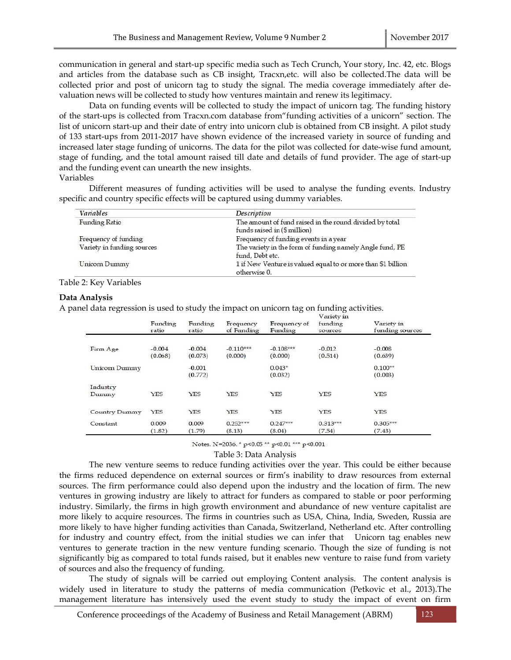communication in general and start-up specific media such as Tech Crunch, Your story, Inc. 42, etc. Blogs and articles from the database such as CB insight, Tracxn,etc. will also be collected.The data will be collected prior and post of unicorn tag to study the signal. The media coverage immediately after devaluation news will be collected to study how ventures maintain and renew its legitimacy.

 Data on funding events will be collected to study the impact of unicorn tag. The funding history of the start-ups is collected from Tracxn.com database from"funding activities of a unicorn" section. The list of unicorn start-up and their date of entry into unicorn club is obtained from CB insight. A pilot study of 133 start-ups from 2011-2017 have shown evidence of the increased variety in source of funding and increased later stage funding of unicorns. The data for the pilot was collected for date-wise fund amount, stage of funding, and the total amount raised till date and details of fund provider. The age of start-up and the funding event can unearth the new insights.

Variables

 Different measures of funding activities will be used to analyse the funding events. Industry specific and country specific effects will be captured using dummy variables.

| <b>Variables</b>           | <b>Description</b>                                           |  |  |
|----------------------------|--------------------------------------------------------------|--|--|
| <b>Funding Ratio</b>       | The amount of fund raised in the round divided by total      |  |  |
|                            | funds raised in (\$ million)                                 |  |  |
| Frequency of funding       | Frequency of funding events in a year                        |  |  |
| Variety in funding sources | The variety in the form of funding namely Angle fund, PE     |  |  |
|                            | fund, Debt etc.                                              |  |  |
| Unicorn Dummy              | 1 if New Venture is valued equal to or more than \$1 billion |  |  |
|                            | otherwise 0.                                                 |  |  |

#### Table 2: Key Variables

#### Data Analysis

A panel data regression is used to study the impact on unicorn tag on funding activities.

|               | Funding<br>ratio | Funding<br>ratio | Frequency<br>of Funding | Frequency of<br>Funding | I COUNTY TO<br>funding<br>sources | Variety in<br>funding sources |
|---------------|------------------|------------------|-------------------------|-------------------------|-----------------------------------|-------------------------------|
|               |                  |                  |                         |                         |                                   |                               |
| Firm Age      | $-0.004$         | $-0.004$         | $-0.110***$             | $-0.108***$             | $-0.012$                          | $-0.008$                      |
|               | (0.068)          | (0.073)          | (0.000)                 | (0.000)                 | (0.514)                           | (0.639)                       |
| Unicorn Dummy |                  | $-0.001$         |                         | $0.043*$                |                                   | $0.100**$                     |
|               |                  | (0.772)          |                         | (0.032)                 |                                   | (0.003)                       |
| Industry      |                  |                  |                         |                         |                                   |                               |
| Dummy         | <b>YES</b>       | <b>YES</b>       | YES                     | YES                     | <b>YES</b>                        | <b>YES</b>                    |
| Country Dummy | <b>YES</b>       | YES              | <b>YES</b>              | YES                     | <b>YES</b>                        | <b>YES</b>                    |
|               |                  |                  |                         |                         |                                   |                               |
| Constant      | 0.009            | 0.009            | $0.252***$              | $0.247***$              | $0.313***$                        | $0.305***$                    |
|               | (1.82)           | (1.79)           | (8.13)                  | (8.04)                  | (7.54)                            | (7.43)                        |

Notes. N=2036. \* p<0.05 \*\* p<0.01 \*\*\* p<0.001

Table 3: Data Analysis

 The new venture seems to reduce funding activities over the year. This could be either because the firms reduced dependence on external sources or firm's inability to draw resources from external sources. The firm performance could also depend upon the industry and the location of firm. The new ventures in growing industry are likely to attract for funders as compared to stable or poor performing industry. Similarly, the firms in high growth environment and abundance of new venture capitalist are more likely to acquire resources. The firms in countries such as USA, China, India, Sweden, Russia are more likely to have higher funding activities than Canada, Switzerland, Netherland etc. After controlling for industry and country effect, from the initial studies we can infer that Unicorn tag enables new ventures to generate traction in the new venture funding scenario. Though the size of funding is not significantly big as compared to total funds raised, but it enables new venture to raise fund from variety of sources and also the frequency of funding.

 The study of signals will be carried out employing Content analysis. The content analysis is widely used in literature to study the patterns of media communication (Petkovic et al., 2013).The management literature has intensively used the event study to study the impact of event on firm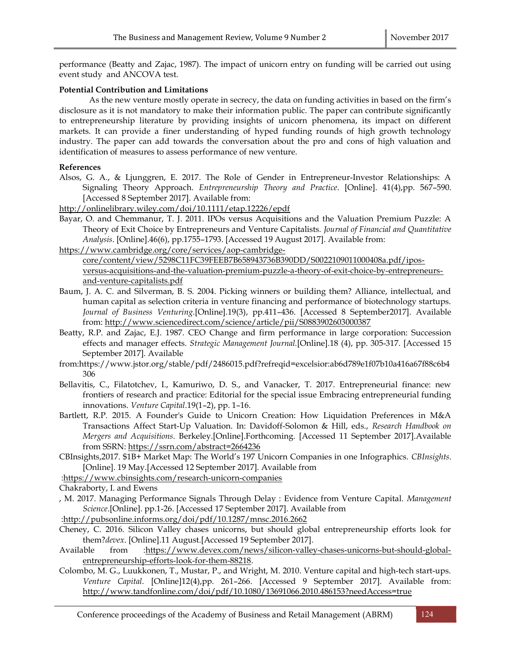performance (Beatty and Zajac, 1987). The impact of unicorn entry on funding will be carried out using event study and ANCOVA test.

# Potential Contribution and Limitations

 As the new venture mostly operate in secrecy, the data on funding activities in based on the firm's disclosure as it is not mandatory to make their information public. The paper can contribute significantly to entrepreneurship literature by providing insights of unicorn phenomena, its impact on different markets. It can provide a finer understanding of hyped funding rounds of high growth technology industry. The paper can add towards the conversation about the pro and cons of high valuation and identification of measures to assess performance of new venture.

## References

- Alsos, G. A., & Ljunggren, E. 2017. The Role of Gender in Entrepreneur-Investor Relationships: A Signaling Theory Approach. Entrepreneurship Theory and Practice. [Online]. 41(4),pp. 567–590. [Accessed 8 September 2017]. Available from:
- http://onlinelibrary.wiley.com/doi/10.1111/etap.12226/epdf
- Bayar, O. and Chemmanur, T. J. 2011. IPOs versus Acquisitions and the Valuation Premium Puzzle: A Theory of Exit Choice by Entrepreneurs and Venture Capitalists. Journal of Financial and Quantitative Analysis. [Online].46(6), pp.1755–1793. [Accessed 19 August 2017]. Available from:

https://www.cambridge.org/core/services/aop-cambridgecore/content/view/5298C11FC39FEEB7B658943736B390DD/S0022109011000408a.pdf/iposversus-acquisitions-and-the-valuation-premium-puzzle-a-theory-of-exit-choice-by-entrepreneursand-venture-capitalists.pdf

- Baum, J. A. C. and Silverman, B. S. 2004. Picking winners or building them? Alliance, intellectual, and human capital as selection criteria in venture financing and performance of biotechnology startups. Journal of Business Venturing.[Online].19(3), pp.411–436. [Accessed 8 September2017]. Available from: http://www.sciencedirect.com/science/article/pii/S0883902603000387
- Beatty, R.P. and Zajac, E.J. 1987. CEO Change and firm performance in large corporation: Succession effects and manager effects. Strategic Management Journal.[Online].18 (4), pp. 305-317. [Accessed 15 September 2017]. Available
- from:https://www.jstor.org/stable/pdf/2486015.pdf?refreqid=excelsior:ab6d789e1f07b10a416a67f88c6b4 306
- Bellavitis, C., Filatotchev, I., Kamuriwo, D. S., and Vanacker, T. 2017. Entrepreneurial finance: new frontiers of research and practice: Editorial for the special issue Embracing entrepreneurial funding innovations. Venture Capital.19(1–2), pp. 1–16.
- Bartlett, R.P. 2015. A Founder's Guide to Unicorn Creation: How Liquidation Preferences in M&A Transactions Affect Start-Up Valuation. In: Davidoff-Solomon & Hill, eds., Research Handbook on Mergers and Acquisitions. Berkeley.[Online].Forthcoming. [Accessed 11 September 2017].Available from SSRN: https://ssrn.com/abstract=2664236
- CBInsights,2017. \$1B+ Market Map: The World's 197 Unicorn Companies in one Infographics. CBInsights. [Online]. 19 May.[Accessed 12 September 2017]. Available from

:https://www.cbinsights.com/research-unicorn-companies

Chakraborty, I. and Ewens

- , M. 2017. Managing Performance Signals Through Delay : Evidence from Venture Capital. Management Science.[Online]. pp.1-26. [Accessed 17 September 2017]. Available from
- :http://pubsonline.informs.org/doi/pdf/10.1287/mnsc.2016.2662
- Cheney, C. 2016. Silicon Valley chases unicorns, but should global entrepreneurship efforts look for them?devex. [Online].11 August.[Accessed 19 September 2017].
- Available from :https://www.devex.com/news/silicon-valley-chases-unicorns-but-should-globalentrepreneurship-efforts-look-for-them-88218.
- Colombo, M. G., Luukkonen, T., Mustar, P., and Wright, M. 2010. Venture capital and high-tech start-ups. Venture Capital. [Online]12(4),pp. 261–266. [Accessed 9 September 2017]. Available from: http://www.tandfonline.com/doi/pdf/10.1080/13691066.2010.486153?needAccess=true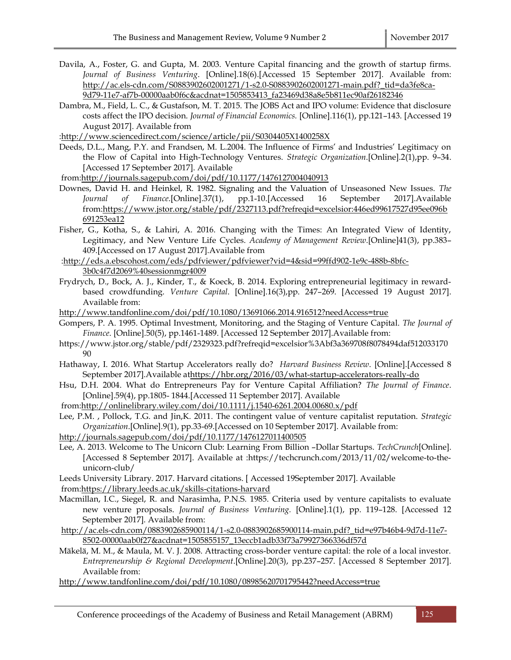- Davila, A., Foster, G. and Gupta, M. 2003. Venture Capital financing and the growth of startup firms. Journal of Business Venturing. [Online].18(6).[Accessed 15 September 2017]. Available from: http://ac.els-cdn.com/S0883902602001271/1-s2.0-S0883902602001271-main.pdf?\_tid=da3fe8ca-9d79-11e7-af7b-00000aab0f6c&acdnat=1505853413\_fa23469d38a8e5b811ec90af26182346
- Dambra, M., Field, L. C., & Gustafson, M. T. 2015. The JOBS Act and IPO volume: Evidence that disclosure costs affect the IPO decision. Journal of Financial Economics. [Online].116(1), pp.121–143. [Accessed 19 August 2017]. Available from

:http://www.sciencedirect.com/science/article/pii/S0304405X1400258X

Deeds, D.L., Mang, P.Y. and Frandsen, M. L.2004. The Influence of Firms' and Industries' Legitimacy on the Flow of Capital into High-Technology Ventures. Strategic Organization.[Online].2(1),pp. 9–34. [Accessed 17 September 2017]. Available

from:http://journals.sagepub.com/doi/pdf/10.1177/1476127004040913

- Downes, David H. and Heinkel, R. 1982. Signaling and the Valuation of Unseasoned New Issues. The Journal of Finance.[Online].37(1), pp.1-10.[Accessed 16 September 2017].Available from:https://www.jstor.org/stable/pdf/2327113.pdf?refreqid=excelsior:446ed99617527d95ee096b 691253ea12
- Fisher, G., Kotha, S., & Lahiri, A. 2016. Changing with the Times: An Integrated View of Identity, Legitimacy, and New Venture Life Cycles. Academy of Management Review.[Online]41(3), pp.383– 409.[Accessed on 17 August 2017].Available from
- :http://eds.a.ebscohost.com/eds/pdfviewer/pdfviewer?vid=4&sid=99ffd902-1e9c-488b-8bfc-3b0c4f7d2069%40sessionmgr4009
- Frydrych, D., Bock, A. J., Kinder, T., & Koeck, B. 2014. Exploring entrepreneurial legitimacy in rewardbased crowdfunding. Venture Capital. [Online].16(3),pp. 247–269. [Accessed 19 August 2017]. Available from:
- http://www.tandfonline.com/doi/pdf/10.1080/13691066.2014.916512?needAccess=true
- Gompers, P. A. 1995. Optimal Investment, Monitoring, and the Staging of Venture Capital. The Journal of Finance. [Online].50(5), pp.1461-1489. [Accessed 12 September 2017].Available from:
- https://www.jstor.org/stable/pdf/2329323.pdf?refreqid=excelsior%3Abf3a369708f8078494daf512033170 90
- Hathaway, I. 2016. What Startup Accelerators really do? Harvard Business Review. [Online].[Accessed 8 September 2017].Available athttps://hbr.org/2016/03/what-startup-accelerators-really-do
- Hsu, D.H. 2004. What do Entrepreneurs Pay for Venture Capital Affiliation? The Journal of Finance. [Online].59(4), pp.1805- 1844.[Accessed 11 September 2017]. Available
- from:http://onlinelibrary.wiley.com/doi/10.1111/j.1540-6261.2004.00680.x/pdf
- Lee, P.M. , Pollock, T.G. and Jin,K. 2011. The contingent value of venture capitalist reputation. Strategic Organization.[Online].9(1), pp.33-69.[Accessed on 10 September 2017]. Available from:

http://journals.sagepub.com/doi/pdf/10.1177/1476127011400505

- Lee, A. 2013. Welcome to The Unicorn Club: Learning From Billion -Dollar Startups. TechCrunch[Online]. [Accessed 8 September 2017]. Available at :https://techcrunch.com/2013/11/02/welcome-to-theunicorn-club/
- Leeds University Library. 2017. Harvard citations. [ Accessed 19September 2017]. Available

from:https://library.leeds.ac.uk/skills-citations-harvard

- Macmillan, I.C., Siegel, R. and Narasimha, P.N.S. 1985. Criteria used by venture capitalists to evaluate new venture proposals. Journal of Business Venturing. [Online].1(1), pp. 119–128. [Accessed 12 September 2017]. Available from:
- http://ac.els-cdn.com/0883902685900114/1-s2.0-0883902685900114-main.pdf?\_tid=e97b46b4-9d7d-11e7- 8502-00000aab0f27&acdnat=1505855157\_13eccb1adb33f73a79927366336df57d
- Mäkelä, M. M., & Maula, M. V. J. 2008. Attracting cross-border venture capital: the role of a local investor. Entrepreneurship & Regional Development.[Online].20(3), pp.237–257. [Accessed 8 September 2017]. Available from:
- http://www.tandfonline.com/doi/pdf/10.1080/08985620701795442?needAccess=true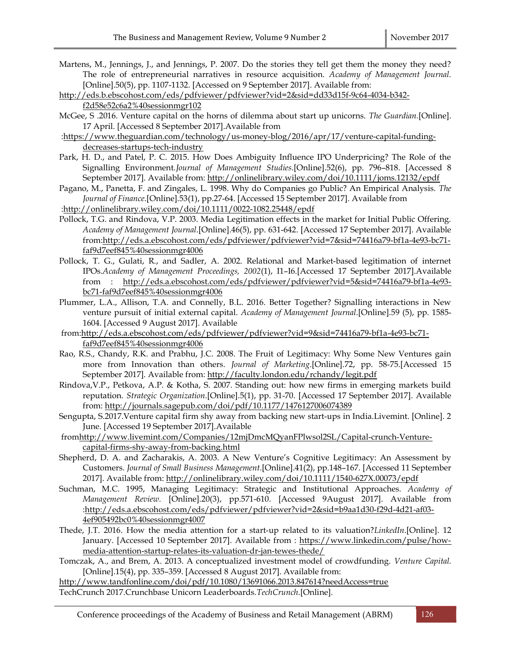- Martens, M., Jennings, J., and Jennings, P. 2007. Do the stories they tell get them the money they need? The role of entrepreneurial narratives in resource acquisition. Academy of Management Journal. [Online].50(5), pp. 1107-1132. [Accessed on 9 September 2017]. Available from:
- http://eds.b.ebscohost.com/eds/pdfviewer/pdfviewer?vid=2&sid=dd33d15f-9c64-4034-b342 f2d58e52c6a2%40sessionmgr102
- McGee, S .2016. Venture capital on the horns of dilemma about start up unicorns. The Guardian.[Online]. 17 April. [Accessed 8 September 2017].Available from
- :https://www.theguardian.com/technology/us-money-blog/2016/apr/17/venture-capital-fundingdecreases-startups-tech-industry
- Park, H. D., and Patel, P. C. 2015. How Does Ambiguity Influence IPO Underpricing? The Role of the Signalling Environment.Journal of Management Studies.[Online].52(6), pp. 796–818. [Accessed 8 September 2017]. Available from: http://onlinelibrary.wiley.com/doi/10.1111/joms.12132/epdf
- Pagano, M., Panetta, F. and Zingales, L. 1998. Why do Companies go Public? An Empirical Analysis. The Journal of Finance.[Online].53(1), pp.27-64. [Accessed 15 September 2017]. Available from
- :http://onlinelibrary.wiley.com/doi/10.1111/0022-1082.25448/epdf
- Pollock, T.G. and Rindova, V.P. 2003. Media Legitimation effects in the market for Initial Public Offering. Academy of Management Journal.[Online].46(5), pp. 631-642. [Accessed 17 September 2017]. Available from:http://eds.a.ebscohost.com/eds/pdfviewer/pdfviewer?vid=7&sid=74416a79-bf1a-4e93-bc71 faf9d7eef845%40sessionmgr4006
- Pollock, T. G., Gulati, R., and Sadler, A. 2002. Relational and Market-based legitimation of internet IPOs.Academy of Management Proceedings, 2002(1), I1–I6.[Accessed 17 September 2017].Available from : http://eds.a.ebscohost.com/eds/pdfviewer/pdfviewer?vid=5&sid=74416a79-bf1a-4e93 bc71-faf9d7eef845%40sessionmgr4006
- Plummer, L.A., Allison, T.A. and Connelly, B.L. 2016. Better Together? Signalling interactions in New venture pursuit of initial external capital. Academy of Management Journal.[Online].59 (5), pp. 1585- 1604. [Accessed 9 August 2017]. Available
- from:http://eds.a.ebscohost.com/eds/pdfviewer/pdfviewer?vid=9&sid=74416a79-bf1a-4e93-bc71 faf9d7eef845%40sessionmgr4006
- Rao, R.S., Chandy, R.K. and Prabhu, J.C. 2008. The Fruit of Legitimacy: Why Some New Ventures gain more from Innovation than others. Journal of Marketing.[Online].72, pp. 58-75.[Accessed 15 September 2017]. Available from: http://faculty.london.edu/rchandy/legit.pdf
- Rindova,V.P., Petkova, A.P. & Kotha, S. 2007. Standing out: how new firms in emerging markets build reputation. Strategic Organization.[Online].5(1), pp. 31-70. [Accessed 17 September 2017]. Available from: http://journals.sagepub.com/doi/pdf/10.1177/1476127006074389
- Sengupta, S.2017.Venture capital firm shy away from backing new start-ups in India.Livemint. [Online]. 2 June. [Accessed 19 September 2017].Available
- fromhttp://www.livemint.com/Companies/12mjDmcMQyanFPlwsol2SL/Capital-crunch-Venturecapital-firms-shy-away-from-backing.html
- Shepherd, D. A. and Zacharakis, A. 2003. A New Venture's Cognitive Legitimacy: An Assessment by Customers. Journal of Small Business Management.[Online].41(2), pp.148–167. [Accessed 11 September 2017]. Available from: http://onlinelibrary.wiley.com/doi/10.1111/1540-627X.00073/epdf
- Suchman, M.C. 1995, Managing Legitimacy: Strategic and Institutional Approaches. Academy of Management Review. [Online].20(3), pp.571-610. [Accessed 9August 2017]. Available from :http://eds.a.ebscohost.com/eds/pdfviewer/pdfviewer?vid=2&sid=b9aa1d30-f29d-4d21-af03- 4ef905492bc0%40sessionmgr4007
- Thede, J.T. 2016. How the media attention for a start-up related to its valuation?LinkedIn.[Online]. 12 January. [Accessed 10 September 2017]. Available from : https://www.linkedin.com/pulse/howmedia-attention-startup-relates-its-valuation-dr-jan-tewes-thede/
- Tomczak, A., and Brem, A. 2013. A conceptualized investment model of crowdfunding. Venture Capital. [Online].15(4), pp. 335–359. [Accessed 8 August 2017]. Available from:

http://www.tandfonline.com/doi/pdf/10.1080/13691066.2013.847614?needAccess=true

TechCrunch 2017.Crunchbase Unicorn Leaderboards.TechCrunch.[Online].